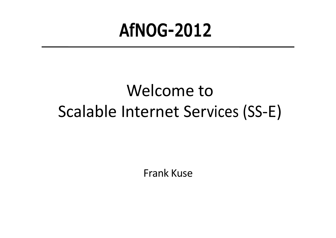## **AfNOG-2012**

### Welcome to Scalable Internet Services (SS-E)

Frank Kuse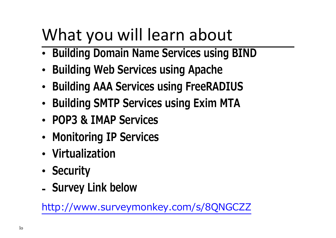## What you will learn about

- **Building Domain Name Services using BIND**
- **Building Web Services using Apache**
- **Building AAA Services using FreeRADIUS**
- **Building SMTP Services using Exim MTA**
- **POP3 & IMAP Services**
- **Monitoring IP Services**
- **Virtualization**
- **Security**
- **- Survey Link below**

[http://www.surveymonkey.com/s/8QNGCZZ](http://www.surveymonkey.com/s/8QNGCZZ%0c)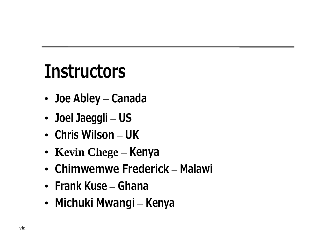# **Instructors**

- **Joe Abley — Canada**
- **Joel Jaeggli — US**
- **Chris Wilson — UK**
- **Kevin Chege — Kenya**
- **Chimwemwe Frederick — Malawi**
- **Frank Kuse — Ghana**
- **Michuki Mwangi — Kenya**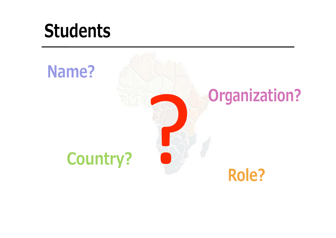# **Students**

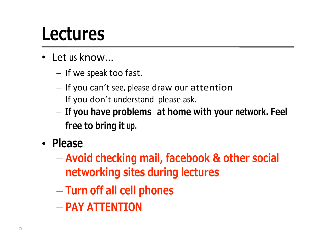## **Lectures**

- Let us know...
	- If we speak too fast.
	- If you can't see, please draw our attention
	- If you don't understand please ask.
	- **If you have problems at home with your network. Feel free to bring it up.**
- **Please**
	- **Avoid checking mail, facebook & other social networking sites during lectures**
	- **Turn off all cell phones**
	- **PAY ATTENTION**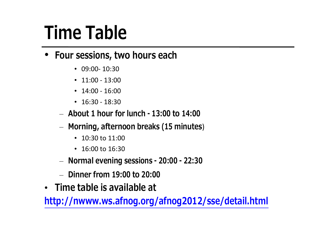# **Time Table**

#### • **Four sessions, two hours each**

- $\cdot$  09:00-10:30
- $\cdot$  11:00 13:00
- $\cdot$  14:00 16:00
- $\cdot$  16:30 18:30
- **About 1 hour for lunch - 13:00 to 14:00**
- **Morning, afternoon breaks (15 minutes**)
	- 10:30 to 11:00
	- $\cdot$  16:00 to 16:30
- **Normal evening sessions - 20:00 - 22:30**
- **Dinner from 19:00 to 20:00**
- **Time table is available at**

**<http://nwww.ws.afnog.org/afnog2012/sse/detail.html>**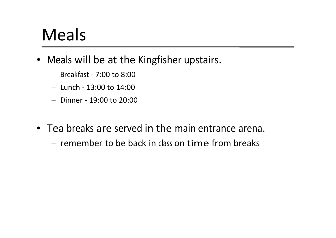#### Meals

.

- Meals will be at the Kingfisher upstairs.
	- Breakfast 7:00 to 8:00
	- Lunch 13:00 to 14:00
	- Dinner 19:00 to 20:00
- Tea breaks are served in the main entrance arena.
	- remember to be back in class on time from breaks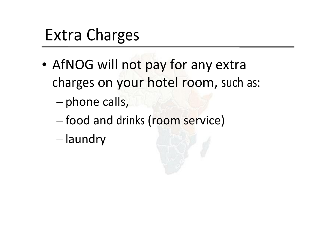### Extra Charges

- AfNOG will not pay for any extra charges on your hotel room, such as:
	- phone calls,
	- food and drinks (room service)
	- laundry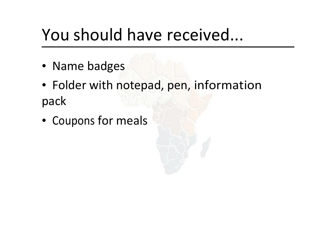#### You should have received...

- Name badges
- Folder with notepad, pen, information pack
- Coupons for meals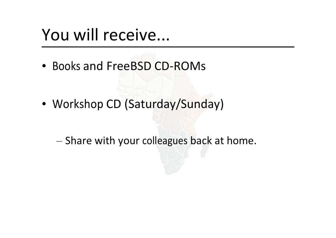#### You will receive...

• Books and FreeBSD CD-ROMs

- Workshop CD (Saturday/Sunday)
	- Share with your colleagues back at home.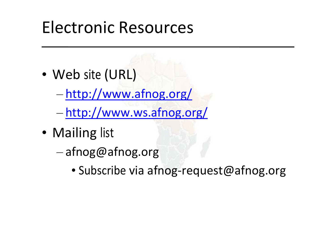#### Electronic Resources

- Web site (URL)
	- <http://www.afnog.org/>
	- <http://www.ws.afnog.org/>
- Mailing list
	- [afnog@afnog.org](mailto:afnog@afnog.org)
		- Subscribe via [afnog-request@afnog.org](mailto:afnog-request@afnog.org)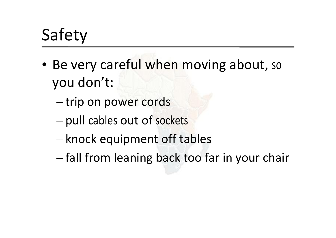## Safety

- Be very careful when moving about, so you don't:
	- trip on power cords
	- pull cables out of sockets
	- knock equipment off tables
	- fall from leaning back too far in your chair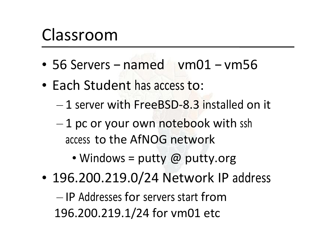#### Classroom

- 56 Servers named vm01 vm56
- Each Student has access to:
	- 1 server with FreeBSD-8.3 installed on it
	- $-1$  pc or your own notebook with ssh access to the AfNOG network
		- Windows = putty  $\omega$  putty.org
- 196.200.219.0/24 Network IP address

— IP Addresses for servers start from 196.200.219.1/24 for vm01 etc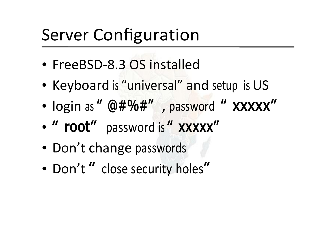## Server Configuration

- FreeBSD-8.3 OS installed
- Keyboard is "universal" and setup is US
- login as **" [@#%#](mailto:@#%#)"** , password **" xxxxx"**
- **" root"** password is **" xxxxx"**
- Don't change passwords
- Don't **"** close security holes**"**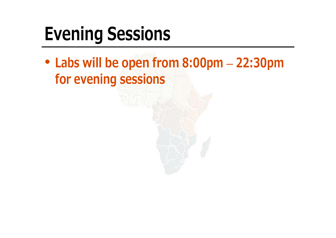# **Evening Sessions**

• **Labs will be open from 8:00pm — 22:30pm for evening sessions**